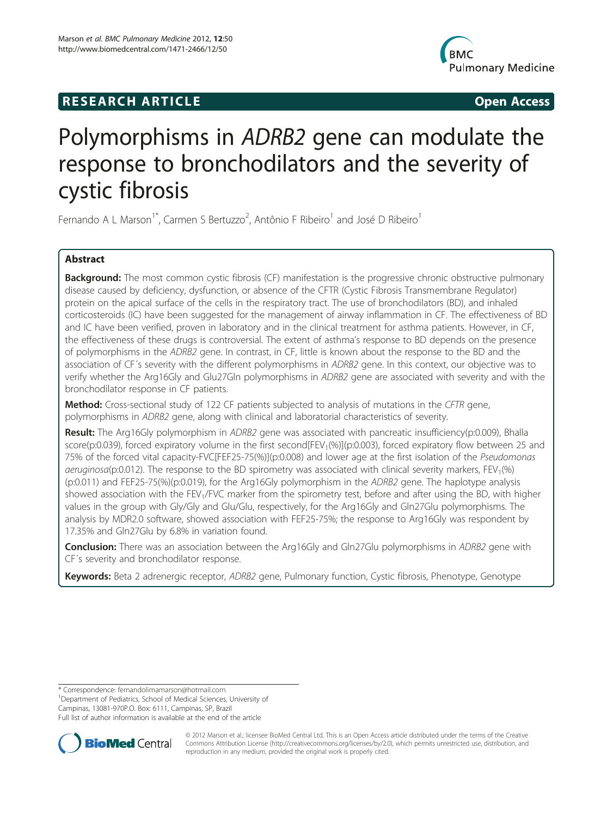## **RESEARCH ARTICLE Example 2018 12:00 Open Access**



# Polymorphisms in ADRB2 gene can modulate the response to bronchodilators and the severity of cystic fibrosis

Fernando A L Marson<sup>1\*</sup>, Carmen S Bertuzzo<sup>2</sup>, Antônio F Ribeiro<sup>1</sup> and José D Ribeiro<sup>1</sup>

## Abstract

Background: The most common cystic fibrosis (CF) manifestation is the progressive chronic obstructive pulmonary disease caused by deficiency, dysfunction, or absence of the CFTR (Cystic Fibrosis Transmembrane Regulator) protein on the apical surface of the cells in the respiratory tract. The use of bronchodilators (BD), and inhaled corticosteroids (IC) have been suggested for the management of airway inflammation in CF. The effectiveness of BD and IC have been verified, proven in laboratory and in the clinical treatment for asthma patients. However, in CF, the effectiveness of these drugs is controversial. The extent of asthma's response to BD depends on the presence of polymorphisms in the ADRB2 gene. In contrast, in CF, little is known about the response to the BD and the association of CF´s severity with the different polymorphisms in ADRB2 gene. In this context, our objective was to verify whether the Arg16Gly and Glu27Gln polymorphisms in ADRB2 gene are associated with severity and with the bronchodilator response in CF patients.

Method: Cross-sectional study of 122 CF patients subjected to analysis of mutations in the CFTR gene, polymorphisms in ADRB2 gene, along with clinical and laboratorial characteristics of severity.

Result: The Arg16Gly polymorphism in ADRB2 gene was associated with pancreatic insufficiency(p:0.009), Bhalla score(p:0.039), forced expiratory volume in the first second[FEV<sub>1</sub>(%)](p:0.003), forced expiratory flow between 25 and 75% of the forced vital capacity-FVC[FEF25-75(%)](p:0.008) and lower age at the first isolation of the Pseudomonas  $a$ eruginosa(p:0.012). The response to the BD spirometry was associated with clinical severity markers, FEV<sub>1</sub>(%) (p:0.011) and FEF25-75(%)(p:0.019), for the Arg16Gly polymorphism in the ADRB2 gene. The haplotype analysis showed association with the FEV<sub>1</sub>/FVC marker from the spirometry test, before and after using the BD, with higher values in the group with Gly/Gly and Glu/Glu, respectively, for the Arg16Gly and Gln27Glu polymorphisms. The analysis by MDR2.0 software, showed association with FEF25-75%; the response to Arg16Gly was respondent by 17.35% and Gln27Glu by 6.8% in variation found.

**Conclusion:** There was an association between the Arg16Gly and Gln27Glu polymorphisms in ADRB2 gene with CF´s severity and bronchodilator response.

Keywords: Beta 2 adrenergic receptor, ADRB2 gene, Pulmonary function, Cystic fibrosis, Phenotype, Genotype

<sup>1</sup>Department of Pediatrics, School of Medical Sciences, University of

Campinas, 13081-970P.O. Box: 6111, Campinas, SP, Brazil

Full list of author information is available at the end of the article



© 2012 Marson et al.; licensee BioMed Central Ltd. This is an Open Access article distributed under the terms of the Creative Commons Attribution License [\(http://creativecommons.org/licenses/by/2.0\)](http://creativecommons.org/licenses/by/2.0), which permits unrestricted use, distribution, and reproduction in any medium, provided the original work is properly cited.

<sup>\*</sup> Correspondence: [fernandolimamarson@hotmail.com](mailto:fernandolimamarson@hotmail.com) <sup>1</sup>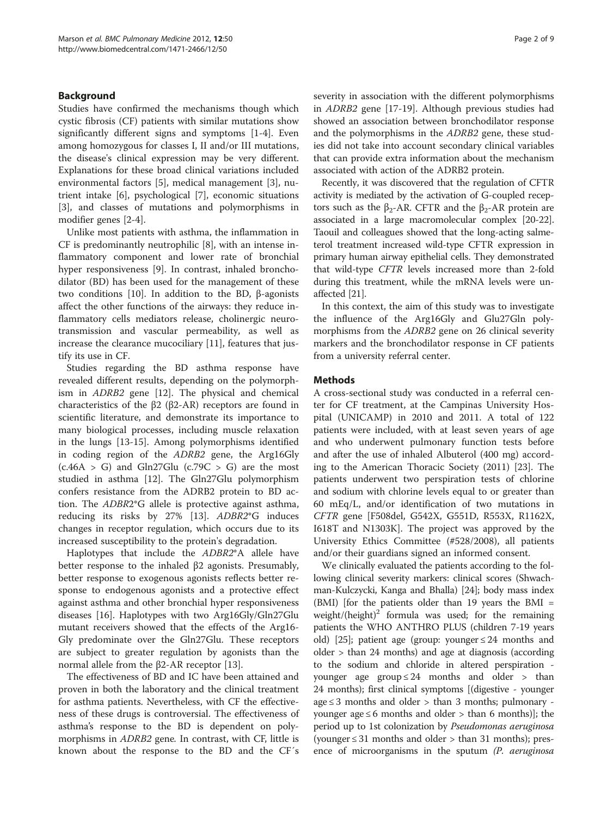## Background

Studies have confirmed the mechanisms though which cystic fibrosis (CF) patients with similar mutations show significantly different signs and symptoms [[1-4](#page-7-0)]. Even among homozygous for classes I, II and/or III mutations, the disease's clinical expression may be very different. Explanations for these broad clinical variations included environmental factors [[5\]](#page-7-0), medical management [\[3](#page-7-0)], nutrient intake [[6\]](#page-8-0), psychological [[7\]](#page-8-0), economic situations [[3\]](#page-7-0), and classes of mutations and polymorphisms in modifier genes [\[2-4](#page-7-0)].

Unlike most patients with asthma, the inflammation in CF is predominantly neutrophilic [[8\]](#page-8-0), with an intense inflammatory component and lower rate of bronchial hyper responsiveness [[9](#page-8-0)]. In contrast, inhaled bronchodilator (BD) has been used for the management of these two conditions [\[10\]](#page-8-0). In addition to the BD, β-agonists affect the other functions of the airways: they reduce inflammatory cells mediators release, cholinergic neurotransmission and vascular permeability, as well as increase the clearance mucociliary [\[11](#page-8-0)], features that justify its use in CF.

Studies regarding the BD asthma response have revealed different results, depending on the polymorphism in ADRB2 gene [[12](#page-8-0)]. The physical and chemical characteristics of the β2 (β2-AR) receptors are found in scientific literature, and demonstrate its importance to many biological processes, including muscle relaxation in the lungs [\[13](#page-8-0)-[15\]](#page-8-0). Among polymorphisms identified in coding region of the ADRB2 gene, the Arg16Gly  $(c.46A > G)$  and Gln27Glu  $(c.79C > G)$  are the most studied in asthma [\[12](#page-8-0)]. The Gln27Glu polymorphism confers resistance from the ADRB2 protein to BD action. The ADBR2\*G allele is protective against asthma, reducing its risks by 27% [\[13\]](#page-8-0). ADBR2\*G induces changes in receptor regulation, which occurs due to its increased susceptibility to the protein's degradation.

Haplotypes that include the ADBR2\*A allele have better response to the inhaled β2 agonists. Presumably, better response to exogenous agonists reflects better response to endogenous agonists and a protective effect against asthma and other bronchial hyper responsiveness diseases [\[16](#page-8-0)]. Haplotypes with two Arg16Gly/Gln27Glu mutant receivers showed that the effects of the Arg16- Gly predominate over the Gln27Glu. These receptors are subject to greater regulation by agonists than the normal allele from the β2-AR receptor [\[13\]](#page-8-0).

The effectiveness of BD and IC have been attained and proven in both the laboratory and the clinical treatment for asthma patients. Nevertheless, with CF the effectiveness of these drugs is controversial. The effectiveness of asthma's response to the BD is dependent on polymorphisms in ADRB2 gene. In contrast, with CF, little is known about the response to the BD and the CF´s

severity in association with the different polymorphisms in ADRB2 gene [\[17](#page-8-0)-[19\]](#page-8-0). Although previous studies had showed an association between bronchodilator response and the polymorphisms in the ADRB2 gene, these studies did not take into account secondary clinical variables that can provide extra information about the mechanism associated with action of the ADRB2 protein.

Recently, it was discovered that the regulation of CFTR activity is mediated by the activation of G-coupled receptors such as the  $β_2$ -AR. CFTR and the  $β_2$ -AR protein are associated in a large macromolecular complex [[20](#page-8-0)-[22](#page-8-0)]. Taouil and colleagues showed that the long-acting salmeterol treatment increased wild-type CFTR expression in primary human airway epithelial cells. They demonstrated that wild-type CFTR levels increased more than 2-fold during this treatment, while the mRNA levels were unaffected [\[21](#page-8-0)].

In this context, the aim of this study was to investigate the influence of the Arg16Gly and Glu27Gln polymorphisms from the ADRB2 gene on 26 clinical severity markers and the bronchodilator response in CF patients from a university referral center.

## Methods

A cross-sectional study was conducted in a referral center for CF treatment, at the Campinas University Hospital (UNICAMP) in 2010 and 2011. A total of 122 patients were included, with at least seven years of age and who underwent pulmonary function tests before and after the use of inhaled Albuterol (400 mg) according to the American Thoracic Society (2011) [[23\]](#page-8-0). The patients underwent two perspiration tests of chlorine and sodium with chlorine levels equal to or greater than 60 mEq/L, and/or identification of two mutations in CFTR gene [F508del, G542X, G551D, R553X, R1162X, I618T and N1303K]. The project was approved by the University Ethics Committee (#528/2008), all patients and/or their guardians signed an informed consent.

We clinically evaluated the patients according to the following clinical severity markers: clinical scores (Shwachman-Kulczycki, Kanga and Bhalla) [[24](#page-8-0)]; body mass index (BMI) [for the patients older than 19 years the BMI = weight/ $(h$ eight)<sup>2</sup> formula was used; for the remaining patients the WHO ANTHRO PLUS (children 7-19 years old) [\[25](#page-8-0)]; patient age (group: younger  $\leq 24$  months and older > than 24 months) and age at diagnosis (according to the sodium and chloride in altered perspiration younger age group  $\leq 24$  months and older > than 24 months); first clinical symptoms [(digestive - younger age  $\leq$  3 months and older  $>$  than 3 months; pulmonary younger age ≤ 6 months and older > than 6 months)]; the period up to 1st colonization by Pseudomonas aeruginosa (younger  $\leq$  31 months and older  $>$  than 31 months); presence of microorganisms in the sputum (P. aeruginosa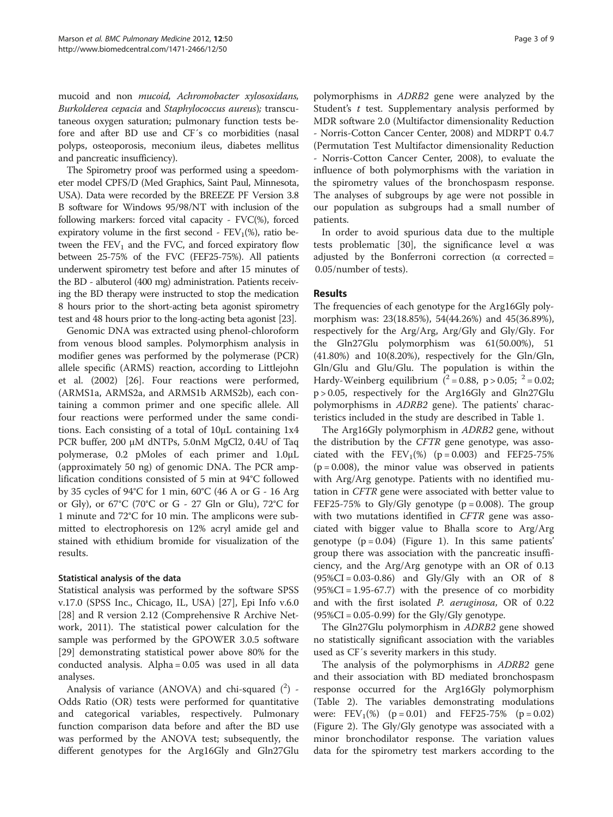mucoid and non mucoid, Achromobacter xylosoxidans, Burkolderea cepacia and Staphylococcus aureus); transcutaneous oxygen saturation; pulmonary function tests before and after BD use and CF´s co morbidities (nasal polyps, osteoporosis, meconium ileus, diabetes mellitus and pancreatic insufficiency).

The Spirometry proof was performed using a speedometer model CPFS/D (Med Graphics, Saint Paul, Minnesota, USA). Data were recorded by the BREEZE PF Version 3.8 B software for Windows 95/98/NT with inclusion of the following markers: forced vital capacity - FVC(%), forced expiratory volume in the first second -  $FEV<sub>1</sub>(%)$ , ratio between the  $FEV<sub>1</sub>$  and the FVC, and forced expiratory flow between 25-75% of the FVC (FEF25-75%). All patients underwent spirometry test before and after 15 minutes of the BD - albuterol (400 mg) administration. Patients receiving the BD therapy were instructed to stop the medication 8 hours prior to the short-acting beta agonist spirometry test and 48 hours prior to the long-acting beta agonist [[23](#page-8-0)].

Genomic DNA was extracted using phenol-chloroform from venous blood samples. Polymorphism analysis in modifier genes was performed by the polymerase (PCR) allele specific (ARMS) reaction, according to Littlejohn et al. (2002) [[26\]](#page-8-0). Four reactions were performed, (ARMS1a, ARMS2a, and ARMS1b ARMS2b), each containing a common primer and one specific allele. All four reactions were performed under the same conditions. Each consisting of a total of 10μL containing 1x4 PCR buffer, 200 μM dNTPs, 5.0nM MgCl2, 0.4U of Taq polymerase, 0.2 pMoles of each primer and 1.0μL (approximately 50 ng) of genomic DNA. The PCR amplification conditions consisted of 5 min at 94°C followed by 35 cycles of 94°C for 1 min, 60°C (46 A or G - 16 Arg or Gly), or 67°C (70°C or G - 27 Gln or Glu), 72°C for 1 minute and 72°C for 10 min. The amplicons were submitted to electrophoresis on 12% acryl amide gel and stained with ethidium bromide for visualization of the results.

## Statistical analysis of the data

Statistical analysis was performed by the software SPSS v.17.0 (SPSS Inc., Chicago, IL, USA) [[27](#page-8-0)], Epi Info v.6.0 [[28\]](#page-8-0) and R version 2.12 (Comprehensive R Archive Network, 2011). The statistical power calculation for the sample was performed by the GPOWER 3.0.5 software [[29\]](#page-8-0) demonstrating statistical power above 80% for the conducted analysis. Alpha = 0.05 was used in all data analyses.

Analysis of variance (ANOVA) and chi-squared  $(^2)$  -Odds Ratio (OR) tests were performed for quantitative and categorical variables, respectively. Pulmonary function comparison data before and after the BD use was performed by the ANOVA test; subsequently, the different genotypes for the Arg16Gly and Gln27Glu

polymorphisms in ADRB2 gene were analyzed by the Student's  $t$  test. Supplementary analysis performed by MDR software 2.0 (Multifactor dimensionality Reduction - Norris-Cotton Cancer Center, 2008) and MDRPT 0.4.7 (Permutation Test Multifactor dimensionality Reduction - Norris-Cotton Cancer Center, 2008), to evaluate the influence of both polymorphisms with the variation in the spirometry values of the bronchospasm response. The analyses of subgroups by age were not possible in our population as subgroups had a small number of patients.

In order to avoid spurious data due to the multiple tests problematic [\[30\]](#page-8-0), the significance level  $\alpha$  was adjusted by the Bonferroni correction ( $\alpha$  corrected = 0.05/number of tests).

## Results

The frequencies of each genotype for the Arg16Gly polymorphism was: 23(18.85%), 54(44.26%) and 45(36.89%), respectively for the Arg/Arg, Arg/Gly and Gly/Gly. For the Gln27Glu polymorphism was 61(50.00%), 51  $(41.80%)$  and  $10(8.20%)$ , respectively for the Gln/Gln, Gln/Glu and Glu/Glu. The population is within the Hardy-Weinberg equilibrium  $(^{2} = 0.88, p > 0.05; ^{2} = 0.02;$ p > 0.05, respectively for the Arg16Gly and Gln27Glu polymorphisms in ADRB2 gene). The patients' characteristics included in the study are described in Table [1.](#page-3-0)

The Arg16Gly polymorphism in ADRB2 gene, without the distribution by the CFTR gene genotype, was associated with the  $FEV_1(\%)$  (p = 0.003) and FEF25-75%  $(p = 0.008)$ , the minor value was observed in patients with Arg/Arg genotype. Patients with no identified mutation in CFTR gene were associated with better value to FEF25-75% to Gly/Gly genotype  $(p = 0.008)$ . The group with two mutations identified in CFTR gene was associated with bigger value to Bhalla score to Arg/Arg genotype  $(p = 0.04)$  (Figure [1\)](#page-4-0). In this same patients' group there was association with the pancreatic insufficiency, and the Arg/Arg genotype with an OR of 0.13 (95%CI = 0.03-0.86) and Gly/Gly with an OR of 8  $(95\%CI = 1.95-67.7)$  with the presence of co morbidity and with the first isolated *P. aeruginosa*, OR of 0.22  $(95\%CI = 0.05 - 0.99)$  for the Gly/Gly genotype.

The Gln27Glu polymorphism in ADRB2 gene showed no statistically significant association with the variables used as CF´s severity markers in this study.

The analysis of the polymorphisms in ADRB2 gene and their association with BD mediated bronchospasm response occurred for the Arg16Gly polymorphism (Table [2](#page-5-0)). The variables demonstrating modulations were:  $FEV_1(\%)$  (p = 0.01) and FEF25-75% (p = 0.02) (Figure [2](#page-5-0)). The Gly/Gly genotype was associated with a minor bronchodilator response. The variation values data for the spirometry test markers according to the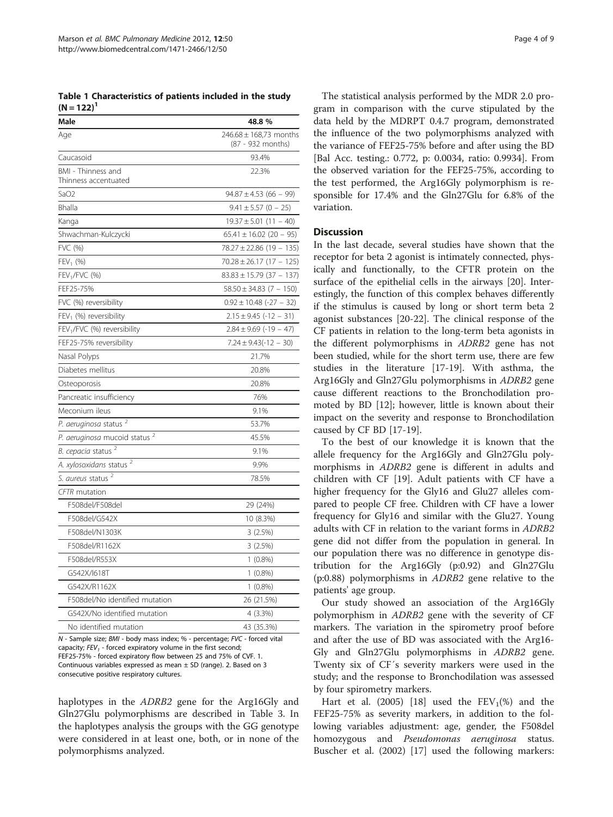<span id="page-3-0"></span>Table 1 Characteristics of patients included in the study  $(N = 122)^1$ 

| Male                                       | 48.8 %                                          |
|--------------------------------------------|-------------------------------------------------|
| Age                                        | $246.68 \pm 168.73$ months<br>(87 - 932 months) |
| Caucasoid                                  | 93.4%                                           |
| BMI - Thinness and<br>Thinness accentuated | 22.3%                                           |
| SaO <sub>2</sub>                           | $94.87 \pm 4.53$ (66 - 99)                      |
| Bhalla                                     | $9.41 \pm 5.57$ (0 - 25)                        |
| Kanga                                      | $19.37 \pm 5.01$ (11 - 40)                      |
| Shwachman-Kulczycki                        | $65.41 \pm 16.02$ (20 - 95)                     |
| FVC (%)                                    | $78.27 \pm 22.86$ (19 - 135)                    |
| $FEV_1$ (%)                                | $70.28 \pm 26.17$ (17 - 125)                    |
| FEV <sub>1</sub> /FVC (%)                  | $83.83 \pm 15.79$ (37 - 137)                    |
| FEF25-75%                                  | $58.50 \pm 34.83$ (7 - 150)                     |
| FVC (%) reversibility                      | $0.92 \pm 10.48$ (-27 - 32)                     |
| $FEV1$ (%) reversibility                   | $2.15 \pm 9.45$ (-12 - 31)                      |
| FEV <sub>1</sub> /FVC (%) reversibility    | $2.84 \pm 9.69$ (-19 – 47)                      |
| FEF25-75% reversibility                    | $7.24 \pm 9.43(-12 - 30)$                       |
| Nasal Polyps                               | 21.7%                                           |
| Diabetes mellitus                          | 20.8%                                           |
| Osteoporosis                               | 20.8%                                           |
| Pancreatic insufficiency                   | 76%                                             |
| Meconium ileus                             | 9.1%                                            |
| P. aeruginosa status <sup>2</sup>          | 53.7%                                           |
| P. aeruginosa mucoid status <sup>2</sup>   | 45.5%                                           |
| B. cepacia status <sup>2</sup>             | 9.1%                                            |
| A. xylosoxidans status <sup>2</sup>        | 9.9%                                            |
| S. aureus status                           | 78.5%                                           |
| <b>CFTR</b> mutation                       |                                                 |
| F508del/F508del                            | 29 (24%)                                        |
| F508del/G542X                              | 10 (8.3%)                                       |
| F508del/N1303K                             | 3(2.5%)                                         |
| F508del/R1162X                             | 3(2.5%)                                         |
| F508del/R553X                              | $1(0.8\%)$                                      |
| G542X/I618T                                | $1(0.8\%)$                                      |
| G542X/R1162X                               | $1(0.8\%)$                                      |
| F508del/No identified mutation             | 26 (21.5%)                                      |
| G542X/No identified mutation               | 4 (3.3%)                                        |
| No identified mutation                     | 43 (35.3%)                                      |

N - Sample size; BMI - body mass index; % - percentage; FVC - forced vital capacity;  $FEV_1$  - forced expiratory volume in the first second FEF25-75% - forced expiratory flow between 25 and 75% of CVF. 1. Continuous variables expressed as mean  $\pm$  SD (range). 2. Based on 3 consecutive positive respiratory cultures.

haplotypes in the *ADRB2* gene for the Arg16Gly and Gln27Glu polymorphisms are described in Table [3.](#page-6-0) In the haplotypes analysis the groups with the GG genotype were considered in at least one, both, or in none of the polymorphisms analyzed.

The statistical analysis performed by the MDR 2.0 program in comparison with the curve stipulated by the data held by the MDRPT 0.4.7 program, demonstrated the influence of the two polymorphisms analyzed with the variance of FEF25-75% before and after using the BD [Bal Acc. testing.: 0.772, p: 0.0034, ratio: 0.9934]. From the observed variation for the FEF25-75%, according to the test performed, the Arg16Gly polymorphism is responsible for 17.4% and the Gln27Glu for 6.8% of the variation.

## **Discussion**

In the last decade, several studies have shown that the receptor for beta 2 agonist is intimately connected, physically and functionally, to the CFTR protein on the surface of the epithelial cells in the airways [\[20\]](#page-8-0). Interestingly, the function of this complex behaves differently if the stimulus is caused by long or short term beta 2 agonist substances [[20](#page-8-0)-[22\]](#page-8-0). The clinical response of the CF patients in relation to the long-term beta agonists in the different polymorphisms in ADRB2 gene has not been studied, while for the short term use, there are few studies in the literature [[17-19](#page-8-0)]. With asthma, the Arg16Gly and Gln27Glu polymorphisms in ADRB2 gene cause different reactions to the Bronchodilation promoted by BD [[12](#page-8-0)]; however, little is known about their impact on the severity and response to Bronchodilation caused by CF BD [\[17](#page-8-0)-[19\]](#page-8-0).

To the best of our knowledge it is known that the allele frequency for the Arg16Gly and Gln27Glu polymorphisms in ADRB2 gene is different in adults and children with CF [[19\]](#page-8-0). Adult patients with CF have a higher frequency for the Gly16 and Glu27 alleles compared to people CF free. Children with CF have a lower frequency for Gly16 and similar with the Glu27. Young adults with CF in relation to the variant forms in ADRB2 gene did not differ from the population in general. In our population there was no difference in genotype distribution for the Arg16Gly (p:0.92) and Gln27Glu (p:0.88) polymorphisms in ADRB2 gene relative to the patients' age group.

Our study showed an association of the Arg16Gly polymorphism in ADRB2 gene with the severity of CF markers. The variation in the spirometry proof before and after the use of BD was associated with the Arg16- Gly and Gln27Glu polymorphisms in ADRB2 gene. Twenty six of CF´s severity markers were used in the study; and the response to Bronchodilation was assessed by four spirometry markers.

Hart et al. (2005) [[18](#page-8-0)] used the  $FEV_1(\%)$  and the FEF25-75% as severity markers, in addition to the following variables adjustment: age, gender, the F508del homozygous and Pseudomonas aeruginosa status. Buscher et al. (2002) [\[17\]](#page-8-0) used the following markers: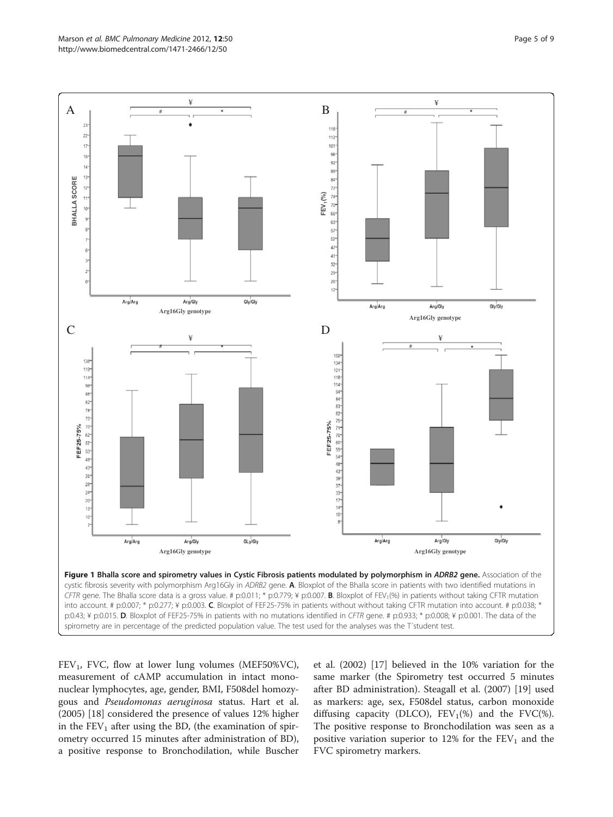<span id="page-4-0"></span>

 $FEV<sub>1</sub>$ , FVC, flow at lower lung volumes (MEF50%VC), measurement of cAMP accumulation in intact mononuclear lymphocytes, age, gender, BMI, F508del homozygous and Pseudomonas aeruginosa status. Hart et al. (2005) [[18\]](#page-8-0) considered the presence of values 12% higher in the  $FEV<sub>1</sub>$  after using the BD, (the examination of spirometry occurred 15 minutes after administration of BD), a positive response to Bronchodilation, while Buscher

et al. (2002) [[17\]](#page-8-0) believed in the 10% variation for the same marker (the Spirometry test occurred 5 minutes after BD administration). Steagall et al. (2007) [\[19](#page-8-0)] used as markers: age, sex, F508del status, carbon monoxide diffusing capacity (DLCO),  $FEV_1(\%)$  and the FVC(%). The positive response to Bronchodilation was seen as a positive variation superior to 12% for the  $FEV<sub>1</sub>$  and the FVC spirometry markers.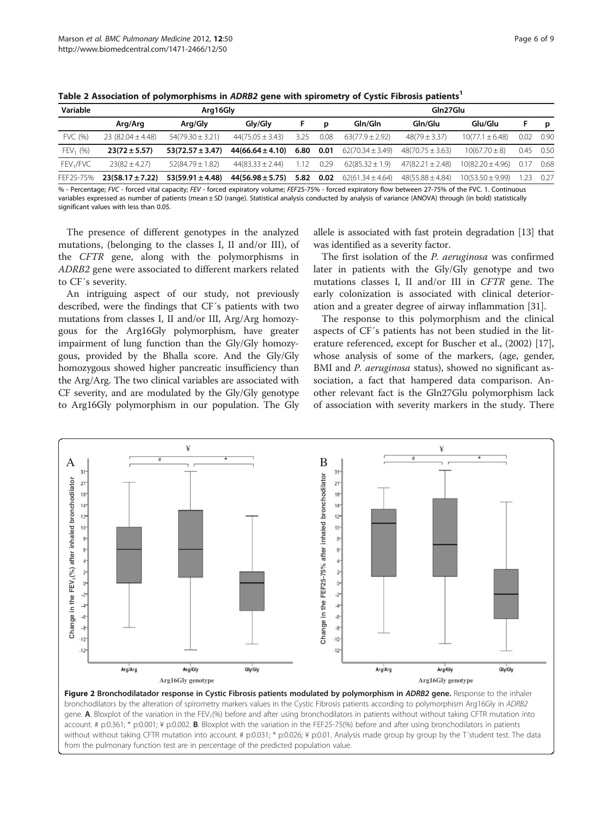| Variable              | Arg16Gly              |                      |                      |      |      | Gln27Glu             |                      |                      |      |      |
|-----------------------|-----------------------|----------------------|----------------------|------|------|----------------------|----------------------|----------------------|------|------|
|                       | Arg/Arg               | Arg/Gly              | Glv/Glv              |      | D    | Gln/Gln              | Gln/Glu              | Glu/Glu              |      | p    |
| FVC (%)               | 23 $(82.04 \pm 4.48)$ | $54(79.30 \pm 3.21)$ | $44(75.05 \pm 3.43)$ | 3.25 | 0.08 | $63(77.9 \pm 2.92)$  | $48(79 \pm 3.37)$    | $10(77.1 \pm 6.48)$  | 0.02 | 0.90 |
| $FEV_1$ (%)           | $23(72 \pm 5.57)$     | $53(72.57 \pm 3.47)$ | $44(66.64 \pm 4.10)$ | 6.80 | 0.01 | $62(70.34 \pm 3.49)$ | $48(70.75 \pm 3.63)$ | $10(67.70 \pm 8)$    | 0.45 | 0.50 |
| FEV <sub>1</sub> /FVC | $23(82 \pm 4.27)$     | $52(84.79 \pm 1.82)$ | $44(83.33 \pm 2.44)$ | 1.12 | 0.29 | $62(85.32 \pm 1.9)$  | $47(82.21 \pm 2.48)$ | $10(82.20 \pm 4.96)$ | 0.17 | 0.68 |
| FEF25-75%             | $23(58.17 \pm 7.22)$  | $53(59.91 \pm 4.48)$ | $44(56.98 \pm 5.75)$ | 5.82 | 0.02 | $62(61.34 \pm 4.64)$ | $48(55.88 \pm 4.84)$ | $10(53.50 \pm 9.99)$ | 23   | 0.27 |

<span id="page-5-0"></span>Table 2 Association of polymorphisms in ADRB2 gene with spirometry of Cystic Fibrosis patients<sup>1</sup>

% - Percentage; FVC - forced vital capacity; FEV - forced expiratory volume; FEF25-75% - forced expiratory flow between 27-75% of the FVC. 1. Continuous variables expressed as number of patients (mean ± SD (range). Statistical analysis conducted by analysis of variance (ANOVA) through (in bold) statistically significant values with less than 0.05.

The presence of different genotypes in the analyzed mutations, (belonging to the classes I, II and/or III), of the CFTR gene, along with the polymorphisms in ADRB2 gene were associated to different markers related to CF´s severity.

An intriguing aspect of our study, not previously described, were the findings that CF´s patients with two mutations from classes I, II and/or III, Arg/Arg homozygous for the Arg16Gly polymorphism, have greater impairment of lung function than the Gly/Gly homozygous, provided by the Bhalla score. And the Gly/Gly homozygous showed higher pancreatic insufficiency than the Arg/Arg. The two clinical variables are associated with CF severity, and are modulated by the Gly/Gly genotype to Arg16Gly polymorphism in our population. The Gly

allele is associated with fast protein degradation [[13](#page-8-0)] that was identified as a severity factor.

The first isolation of the P. aeruginosa was confirmed later in patients with the Gly/Gly genotype and two mutations classes I, II and/or III in CFTR gene. The early colonization is associated with clinical deterioration and a greater degree of airway inflammation [[31\]](#page-8-0).

The response to this polymorphism and the clinical aspects of CF´s patients has not been studied in the literature referenced, except for Buscher et al., (2002) [\[17](#page-8-0)], whose analysis of some of the markers, (age, gender, BMI and P. aeruginosa status), showed no significant association, a fact that hampered data comparison. Another relevant fact is the Gln27Glu polymorphism lack of association with severity markers in the study. There



Figure 2 Bronchodilatador response in Cystic Fibrosis patients modulated by polymorphism in ADRB2 gene. Response to the inhaler bronchodilators by the alteration of spirometry markers values in the Cystic Fibrosis patients according to polymorphism Arg16Gly in ADRB2 gene. A. Bloxplot of the variation in the FEV<sub>1</sub>(%) before and after using bronchodilators in patients without without taking CFTR mutation into account. # p:0.361; \* p:0.001; ¥ p:0.002. B. Bloxplot with the variation in the FEF25-75(%) before and after using bronchodilators in patients without without taking CFTR mutation into account. # p:0.031; \* p:0.026; ¥ p:0.01. Analysis made group by group by the T'student test. The data from the pulmonary function test are in percentage of the predicted population value.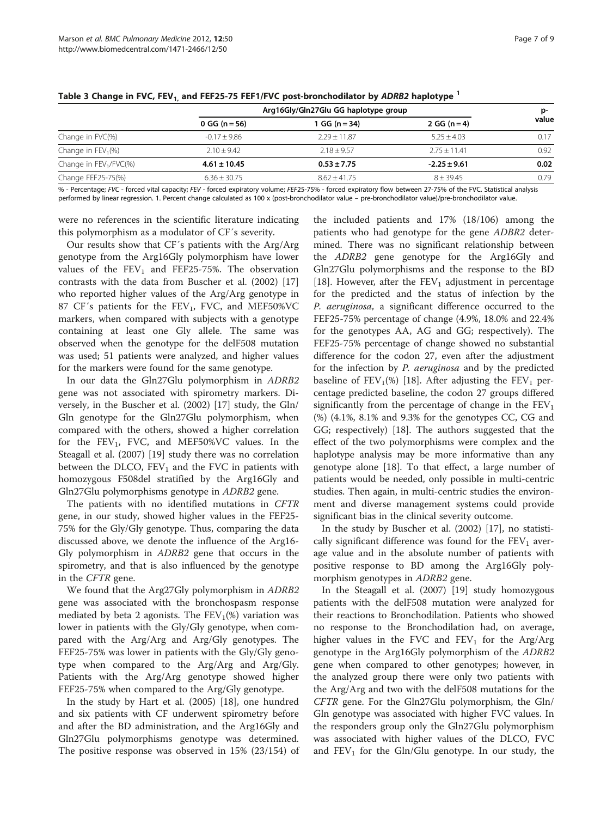|                          | Arg16Gly/Gln27Glu GG haplotype group |                  |                  |       |
|--------------------------|--------------------------------------|------------------|------------------|-------|
|                          | 0 GG ( $n = 56$ )                    | 1 GG (n = 34)    | 2 GG $(n=4)$     | value |
| Change in FVC(%)         | $-0.17 + 9.86$                       | $2.29 + 11.87$   | $5.25 + 4.03$    | 0.17  |
| Change in $FEV_1(\%)$    | $2.10 + 9.42$                        | $2.18 + 9.57$    | $2.75 + 11.41$   | 0.92  |
| Change in $FEV1/FVC$ (%) | $4.61 \pm 10.45$                     | $0.53 \pm 7.75$  | $-2.25 \pm 9.61$ | 0.02  |
| Change FEF25-75(%)       | $6.36 \pm 30.75$                     | $8.62 \pm 41.75$ | $8 + 39.45$      | 0.79  |

<span id="page-6-0"></span>Table 3 Change in FVC, FEV<sub>1,</sub> and FEF25-75 FEF1/FVC post-bronchodilator by ADRB2 haplotype <sup>1</sup>

% - Percentage; FVC - forced vital capacity; FEV - forced expiratory volume; FEF25-75% - forced expiratory flow between 27-75% of the FVC. Statistical analysis performed by linear regression. 1. Percent change calculated as 100 x (post-bronchodilator value – pre-bronchodilator value)/pre-bronchodilator value.

were no references in the scientific literature indicating this polymorphism as a modulator of CF´s severity.

Our results show that CF´s patients with the Arg/Arg genotype from the Arg16Gly polymorphism have lower values of the  $FEV_1$  and  $FEF25-75%$ . The observation contrasts with the data from Buscher et al. (2002) [[17](#page-8-0)] who reported higher values of the Arg/Arg genotype in 87 CF's patients for the  $FEV_1$ , FVC, and MEF50%VC markers, when compared with subjects with a genotype containing at least one Gly allele. The same was observed when the genotype for the delF508 mutation was used; 51 patients were analyzed, and higher values for the markers were found for the same genotype.

In our data the Gln27Glu polymorphism in ADRB2 gene was not associated with spirometry markers. Diversely, in the Buscher et al. (2002) [\[17\]](#page-8-0) study, the Gln/ Gln genotype for the Gln27Glu polymorphism, when compared with the others, showed a higher correlation for the  $FEV_1$ , FVC, and MEF50%VC values. In the Steagall et al. (2007) [\[19](#page-8-0)] study there was no correlation between the DLCO,  $FEV_1$  and the FVC in patients with homozygous F508del stratified by the Arg16Gly and Gln27Glu polymorphisms genotype in ADRB2 gene.

The patients with no identified mutations in CFTR gene, in our study, showed higher values in the FEF25- 75% for the Gly/Gly genotype. Thus, comparing the data discussed above, we denote the influence of the Arg16- Gly polymorphism in ADRB2 gene that occurs in the spirometry, and that is also influenced by the genotype in the CFTR gene.

We found that the Arg27Gly polymorphism in ADRB2 gene was associated with the bronchospasm response mediated by beta 2 agonists. The  $FEV<sub>1</sub>(%)$  variation was lower in patients with the Gly/Gly genotype, when compared with the Arg/Arg and Arg/Gly genotypes. The FEF25-75% was lower in patients with the Gly/Gly genotype when compared to the Arg/Arg and Arg/Gly. Patients with the Arg/Arg genotype showed higher FEF25-75% when compared to the Arg/Gly genotype.

In the study by Hart et al. (2005) [\[18\]](#page-8-0), one hundred and six patients with CF underwent spirometry before and after the BD administration, and the Arg16Gly and Gln27Glu polymorphisms genotype was determined. The positive response was observed in 15% (23/154) of

the included patients and 17% (18/106) among the patients who had genotype for the gene ADBR2 determined. There was no significant relationship between the ADRB2 gene genotype for the Arg16Gly and Gln27Glu polymorphisms and the response to the BD [[18\]](#page-8-0). However, after the  $FEV_1$  adjustment in percentage for the predicted and the status of infection by the P. aeruginosa, a significant difference occurred to the FEF25-75% percentage of change (4.9%, 18.0% and 22.4% for the genotypes AA, AG and GG; respectively). The FEF25-75% percentage of change showed no substantial difference for the codon 27, even after the adjustment for the infection by P. aeruginosa and by the predicted baseline of  $FEV_1(\%)$  [[18\]](#page-8-0). After adjusting the  $FEV_1$  percentage predicted baseline, the codon 27 groups differed significantly from the percentage of change in the  $FEV<sub>1</sub>$ (%) (4.1%, 8.1% and 9.3% for the genotypes CC, CG and GG; respectively) [[18](#page-8-0)]. The authors suggested that the effect of the two polymorphisms were complex and the haplotype analysis may be more informative than any genotype alone [[18](#page-8-0)]. To that effect, a large number of patients would be needed, only possible in multi-centric studies. Then again, in multi-centric studies the environment and diverse management systems could provide significant bias in the clinical severity outcome.

In the study by Buscher et al. (2002) [\[17\]](#page-8-0), no statistically significant difference was found for the  $FEV<sub>1</sub>$  average value and in the absolute number of patients with positive response to BD among the Arg16Gly polymorphism genotypes in ADRB2 gene.

In the Steagall et al. (2007) [\[19\]](#page-8-0) study homozygous patients with the delF508 mutation were analyzed for their reactions to Bronchodilation. Patients who showed no response to the Bronchodilation had, on average, higher values in the FVC and  $FEV_1$  for the Arg/Arg genotype in the Arg16Gly polymorphism of the ADRB2 gene when compared to other genotypes; however, in the analyzed group there were only two patients with the Arg/Arg and two with the delF508 mutations for the CFTR gene. For the Gln27Glu polymorphism, the Gln/ Gln genotype was associated with higher FVC values. In the responders group only the Gln27Glu polymorphism was associated with higher values of the DLCO, FVC and  $FEV<sub>1</sub>$  for the Gln/Glu genotype. In our study, the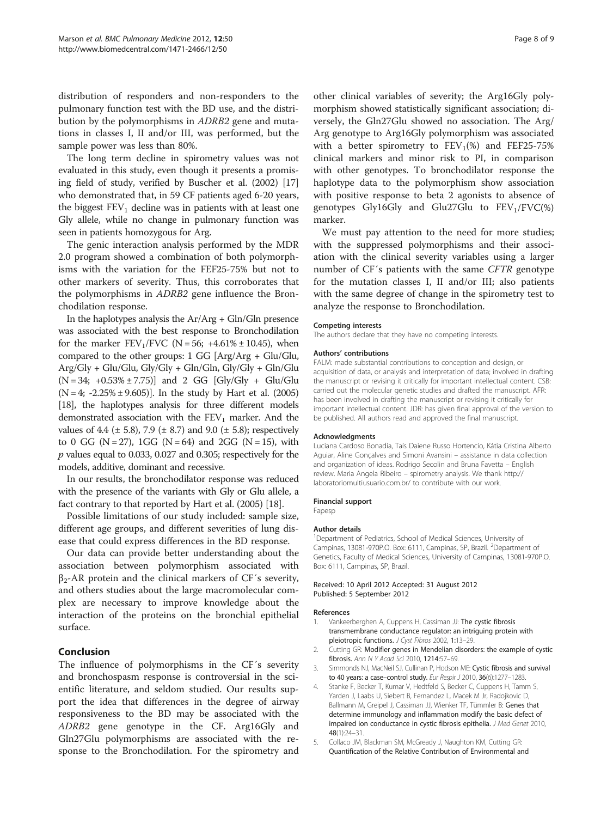<span id="page-7-0"></span>distribution of responders and non-responders to the pulmonary function test with the BD use, and the distribution by the polymorphisms in ADRB2 gene and mutations in classes I, II and/or III, was performed, but the sample power was less than 80%.

The long term decline in spirometry values was not evaluated in this study, even though it presents a promising field of study, verified by Buscher et al. (2002) [[17](#page-8-0)] who demonstrated that, in 59 CF patients aged 6-20 years, the biggest  $FEV<sub>1</sub>$  decline was in patients with at least one Gly allele, while no change in pulmonary function was seen in patients homozygous for Arg.

The genic interaction analysis performed by the MDR 2.0 program showed a combination of both polymorphisms with the variation for the FEF25-75% but not to other markers of severity. Thus, this corroborates that the polymorphisms in ADRB2 gene influence the Bronchodilation response.

In the haplotypes analysis the  $Ar/Arg + Gln/Gln$  presence was associated with the best response to Bronchodilation for the marker  $FEV_1/FVC$  (N = 56; +4.61% ± 10.45), when compared to the other groups:  $1 \text{ GG } [\text{Arg/Arg} + \text{Glu}/\text{Glu}$ , Arg/Gly + Glu/Glu, Gly/Gly + Gln/Gln, Gly/Gly + Gln/Glu  $(N = 34; +0.53\% \pm 7.75)$  and 2 GG [Gly/Gly + Glu/Glu  $(N = 4; -2.25\% \pm 9.605)$ . In the study by Hart et al. (2005) [[18](#page-8-0)], the haplotypes analysis for three different models demonstrated association with the  $FEV<sub>1</sub>$  marker. And the values of 4.4 ( $\pm$  5.8), 7.9 ( $\pm$  8.7) and 9.0 ( $\pm$  5.8); respectively to 0 GG ( $N = 27$ ), 1GG ( $N = 64$ ) and 2GG ( $N = 15$ ), with p values equal to 0.033, 0.027 and 0.305; respectively for the models, additive, dominant and recessive.

In our results, the bronchodilator response was reduced with the presence of the variants with Gly or Glu allele, a fact contrary to that reported by Hart et al. (2005) [\[18\]](#page-8-0).

Possible limitations of our study included: sample size, different age groups, and different severities of lung disease that could express differences in the BD response.

Our data can provide better understanding about the association between polymorphism associated with  $β<sub>2</sub> - AR$  protein and the clinical markers of CF's severity, and others studies about the large macromolecular complex are necessary to improve knowledge about the interaction of the proteins on the bronchial epithelial surface.

## Conclusion

The influence of polymorphisms in the CF´s severity and bronchospasm response is controversial in the scientific literature, and seldom studied. Our results support the idea that differences in the degree of airway responsiveness to the BD may be associated with the ADRB2 gene genotype in the CF. Arg16Gly and Gln27Glu polymorphisms are associated with the response to the Bronchodilation. For the spirometry and

other clinical variables of severity; the Arg16Gly polymorphism showed statistically significant association; diversely, the Gln27Glu showed no association. The Arg/ Arg genotype to Arg16Gly polymorphism was associated with a better spirometry to  $FEV_1(\%)$  and  $FEF25-75\%$ clinical markers and minor risk to PI, in comparison with other genotypes. To bronchodilator response the haplotype data to the polymorphism show association with positive response to beta 2 agonists to absence of genotypes Gly16Gly and Glu27Glu to  $FEV<sub>1</sub>/FVC$ (%) marker.

We must pay attention to the need for more studies; with the suppressed polymorphisms and their association with the clinical severity variables using a larger number of CF´s patients with the same CFTR genotype for the mutation classes I, II and/or III; also patients with the same degree of change in the spirometry test to analyze the response to Bronchodilation.

#### Competing interests

The authors declare that they have no competing interests.

#### Authors' contributions

FALM: made substantial contributions to conception and design, or acquisition of data, or analysis and interpretation of data; involved in drafting the manuscript or revising it critically for important intellectual content. CSB carried out the molecular genetic studies and drafted the manuscript. AFR: has been involved in drafting the manuscript or revising it critically for important intellectual content. JDR: has given final approval of the version to be published. All authors read and approved the final manuscript.

#### Acknowledgments

Luciana Cardoso Bonadia, Taís Daiene Russo Hortencio, Kátia Cristina Alberto Aguiar, Aline Gonçalves and Simoni Avansini – assistance in data collection and organization of ideas. Rodrigo Secolin and Bruna Favetta – English review. Maria Angela Ribeiro – spirometry analysis. We thank http:// laboratoriomultiusuario.com.br/ to contribute with our work.

#### Financial support

Fapesp

#### Author details

<sup>1</sup>Department of Pediatrics, School of Medical Sciences, University of Campinas, 13081-970P.O. Box: 6111, Campinas, SP, Brazil. <sup>2</sup>Department of Genetics, Faculty of Medical Sciences, University of Campinas, 13081-970P.O. Box: 6111, Campinas, SP, Brazil.

Received: 10 April 2012 Accepted: 31 August 2012 Published: 5 September 2012

#### References

- 1. Vankeerberghen A, Cuppens H, Cassiman JJ: The cystic fibrosis transmembrane conductance regulator: an intriguing protein with pleiotropic functions. J Cyst Fibros 2002, 1:13–29.
- 2. Cutting GR: Modifier genes in Mendelian disorders: the example of cystic fibrosis. Ann N Y Acad Sci 2010, 1214:57–69.
- 3. Simmonds NJ, MacNeil SJ, Cullinan P, Hodson ME: Cystic fibrosis and survival to 40 years: a case–control study. Eur Respir J 2010, 36(6):1277–1283.
- 4. Stanke F, Becker T, Kumar V, Hedtfeld S, Becker C, Cuppens H, Tamm S, Yarden J, Laabs U, Siebert B, Fernandez L, Macek M Jr, Radojkovic D, Ballmann M, Greipel J, Cassiman JJ, Wienker TF, Tümmler B: Genes that determine immunology and inflammation modify the basic defect of impaired ion conductance in cystic fibrosis epithelia. J Med Genet 2010, 48(1):24–31.
- 5. Collaco JM, Blackman SM, McGready J, Naughton KM, Cutting GR: Quantification of the Relative Contribution of Environmental and